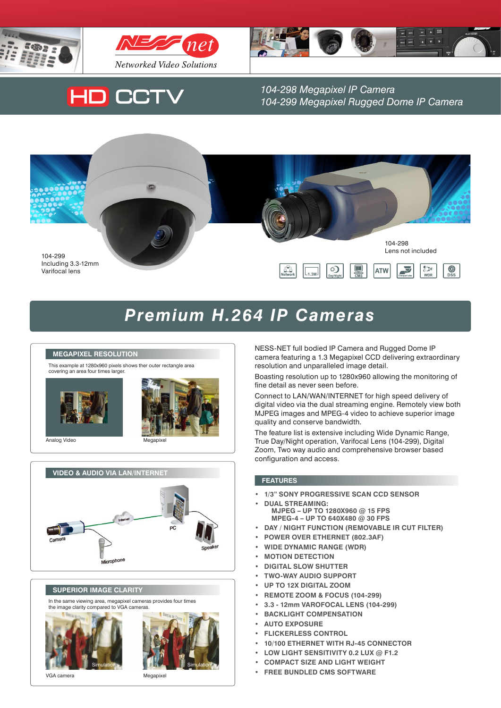





# **HD CCTV**

1.3 Megapixel IP Camera *104-298 Megapixel IP Camera 104-299 Megapixel Rugged Dome IP Camera*



#### The network Dyna**Hawk**™ 060 series IP Camera features a 1.3 Megapixel CCD that delivers unparalleled image Premium H.264 IP Cameras and the settlement of the settlement of the settlement of the settlement of the settl quality and conserve bandwidth. Boasting resolution up to 1280x960, users can monitor critical areas with greater



This example at 1280x960 pixels shows ther outer rectangle area covering an area four times larger.



Analog Video



**Video & Audio Via LAN/INTERNET** Sp Microphone

## **Superior Image Clarity**

In the same viewing area, megapixel cameras provides four times the image clarity compared to VGA cameras.



VGA camera **Megapixel** 

Simulation **Simulation** Simulation

NESS-NET full bodied IP Camera and Rugged Dome IP camera featuring a 1.3 Megapixel CCD delivering extraordinary resolution and unparalleled image detail.

detail like never before. The synchronized audio ensures users not only "see" but also "hear" events as they unfold.

Boasting resolution up to 1280x960 allowing the monitoring of fine detail as never seen before.

Connect to LAN/WAN/INTERNET for high speed delivery of digital video via the dual streaming engine. Remotely view both MJPEG images and MPEG-4 video to achieve superior image quality and conserve bandwidth.

The feature list is extensive including Wide Dynamic Range, True Day/Night operation, Varifocal Lens (104-299), Digital Zoom, Two way audio and comprehensive browser based configuration and access.

## **Features**

- **• 1/3" Sony Progressive scan CCD sensor**
- **• Dual Streaming:**
	- **MJPEG – up to 1280x960 @ 15 fps MPEG-4 – up to 640x480 @ 30 fps**
- **• Day / Night function (Removable IR Cut Filter)**
- **• Power over Ethernet (802.3af)**
- **• Wide Dynamic Range (WDR)**
- **• Motion Detection**
- **DIGITAL SLOW SHUTTER**
- **• Two-way audio support**
- **• Up to 12x Digital Zoom**
- **• Remote Zoom & Focus (104-299)**
- **• 3.3 - 12mm Varofocal Lens (104-299)**
- **BACKLIGHT COMPENSATION**
- **AUTO EXPOSURE**
- **FLICKERLESS CONTROL**
- **• 10/100 Ethernet with RJ-45 connector**
- **• Low light sensitivity 0.2 lux @ F1.2**
- **COMPACT SIZE AND LIGHT WEIGHT**
- **• Free bundled CMS software**